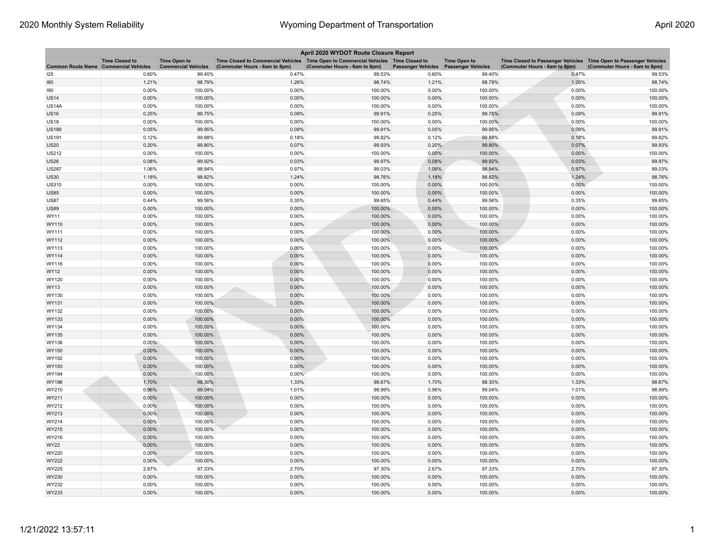| April 2020 WYDOT Route Closure Report        |                       |                                                   |                                                                                                                       |                               |                           |                                                  |                                                                                                      |                               |  |  |  |
|----------------------------------------------|-----------------------|---------------------------------------------------|-----------------------------------------------------------------------------------------------------------------------|-------------------------------|---------------------------|--------------------------------------------------|------------------------------------------------------------------------------------------------------|-------------------------------|--|--|--|
| <b>Common Route Name Commercial Vehicles</b> | <b>Time Closed to</b> | <b>Time Open to</b><br><b>Commercial Vehicles</b> | Time Closed to Commercial Vehicles  Time Open to Commercial Vehicles  Time Closed to<br>(Commuter Hours - 6am to 8pm) | (Commuter Hours - 6am to 8pm) | <b>Passenger Vehicles</b> | <b>Time Open to</b><br><b>Passenger Vehicles</b> | Time Closed to Passenger Vehicles   Time Open to Passenger Vehicles<br>(Commuter Hours - 6am to 8pm) | (Commuter Hours - 6am to 8pm) |  |  |  |
| 125                                          | 0.60%                 | 99.40%                                            | 0.47%                                                                                                                 | 99.53%                        | 0.60%                     | 99.40%                                           | 0.47%                                                                                                | 99.53%                        |  |  |  |
| 180                                          | 1.21%                 | 98.79%                                            | 1.26%                                                                                                                 | 98.74%                        | 1.21%                     | 98.79%                                           | 1.26%                                                                                                | 98.74%                        |  |  |  |
| 190                                          | 0.00%                 | 100.00%                                           | 0.00%                                                                                                                 | 100.00%                       | 0.00%                     | 100.00%                                          | 0.00%                                                                                                | 100.00%                       |  |  |  |
| <b>US14</b>                                  | 0.00%                 | 100.00%                                           | 0.00%                                                                                                                 | 100.00%                       | 0.00%                     | 100.00%                                          | 0.00%                                                                                                | 100.00%                       |  |  |  |
| US14A                                        | 0.00%                 | 100.00%                                           | 0.00%                                                                                                                 | 100.00%                       | 0.00%                     | 100.00%                                          | 0.00%                                                                                                | 100.00%                       |  |  |  |
| <b>US16</b>                                  | 0.25%                 | 99.75%                                            | 0.09%                                                                                                                 | 99.91%                        | 0.25%                     | 99.75%                                           | 0.09%                                                                                                | 99.91%                        |  |  |  |
| <b>US18</b>                                  | 0.00%                 | 100.00%                                           | 0.00%                                                                                                                 | 100.00%                       | 0.00%                     | 100.00%                                          | 0.00%                                                                                                | 100.00%                       |  |  |  |
| US189                                        | 0.05%                 | 99.95%                                            | 0.09%                                                                                                                 | 99.91%                        | 0.05%                     | 99.95%                                           | 0.09%                                                                                                | 99.91%                        |  |  |  |
| US191                                        | 0.12%                 | 99.88%                                            | 0.18%                                                                                                                 | 99.82%                        | 0.12%                     | 99.88%                                           | 0.18%                                                                                                | 99.82%                        |  |  |  |
| <b>US20</b>                                  | 0.20%                 | 99.80%                                            | 0.07%                                                                                                                 | 99.93%                        | 0.20%                     | 99.80%                                           | 0.07%                                                                                                | 99.93%                        |  |  |  |
| US212                                        | 0.00%                 | 100.00%                                           | 0.00%                                                                                                                 | 100.00%                       | 0.00%                     | 100.00%                                          | 0.00%                                                                                                | 100.00%                       |  |  |  |
| <b>US26</b>                                  | 0.08%                 | 99.92%                                            | 0.03%                                                                                                                 | 99.97%                        | 0.08%                     | 99.92%                                           | 0.03%                                                                                                | 99.97%                        |  |  |  |
| US287                                        | 1.06%                 | 98.94%                                            | 0.97%                                                                                                                 | 99.03%                        | 1.06%                     | 98.94%                                           | 0.97%                                                                                                | 99.03%                        |  |  |  |
| US30                                         | 1.18%                 | 98.82%                                            | 1.24%                                                                                                                 | 98.76%                        | 1.18%                     | 98.82%                                           | 1.24%                                                                                                | 98.76%                        |  |  |  |
| US310                                        | 0.00%                 | 100.00%                                           | 0.00%                                                                                                                 | 100.00%                       | 0.00%                     | 100.00%                                          | 0.00%                                                                                                | 100.00%                       |  |  |  |
| <b>US85</b>                                  | 0.00%                 | 100.00%                                           | 0.00%                                                                                                                 | 100.00%                       | 0.00%                     | 100.00%                                          | 0.00%                                                                                                | 100.00%                       |  |  |  |
| <b>US87</b>                                  | 0.44%                 | 99.56%                                            | 0.35%                                                                                                                 | 99.65%                        | 0.44%                     | 99.56%                                           | 0.35%                                                                                                | 99.65%                        |  |  |  |
| <b>US89</b>                                  | 0.00%                 | 100.00%                                           | 0.00%                                                                                                                 | 100.00%                       | 0.00%                     | 100.00%                                          | 0.00%                                                                                                | 100.00%                       |  |  |  |
| WY11                                         | 0.00%                 | 100.00%                                           | 0.00%                                                                                                                 | 100.00%                       | 0.00%                     | 100.00%                                          | 0.00%                                                                                                | 100.00%                       |  |  |  |
| WY110                                        | 0.00%                 | 100.00%                                           | 0.00%                                                                                                                 | 100.00%                       | 0.00%                     | 100.00%                                          | 0.00%                                                                                                | 100.00%                       |  |  |  |
| WY111                                        | 0.00%                 | 100.00%                                           | 0.00%                                                                                                                 | 100.00%                       | 0.00%                     | 100.00%                                          | 0.00%                                                                                                | 100.00%                       |  |  |  |
| WY112                                        | 0.00%                 | 100.00%                                           | 0.00%                                                                                                                 | 100.00%                       | 0.00%                     | 100.00%                                          | 0.00%                                                                                                | 100.00%                       |  |  |  |
| WY113                                        | 0.00%                 | 100.00%                                           | 0.00%                                                                                                                 | 100.00%                       | 0.00%                     | 100.00%                                          | 0.00%                                                                                                | 100.00%                       |  |  |  |
| WY114                                        | 0.00%                 | 100.00%                                           | 0.00%                                                                                                                 | 100.00%                       | 0.00%                     | 100.00%                                          | 0.00%                                                                                                | 100.00%                       |  |  |  |
| WY116                                        | 0.00%                 | 100.00%                                           | 0.00%                                                                                                                 | 100.00%                       | 0.00%                     | 100.00%                                          | 0.00%                                                                                                | 100.00%                       |  |  |  |
| WY12                                         | 0.00%                 | 100.00%                                           | 0.00%                                                                                                                 | 100.00%                       | 0.00%                     | 100.00%                                          | 0.00%                                                                                                | 100.00%                       |  |  |  |
| WY120                                        | 0.00%                 | 100.00%                                           | 0.00%                                                                                                                 | 100.00%                       | 0.00%                     | 100.00%                                          | 0.00%                                                                                                | 100.00%                       |  |  |  |
| <b>WY13</b>                                  | 0.00%                 | 100.00%                                           | 0.00%                                                                                                                 | 100.00%                       | 0.00%                     | 100.00%                                          | $0.00\%$                                                                                             | 100.00%                       |  |  |  |
| WY130                                        | 0.00%                 | 100.00%                                           | 0.00%                                                                                                                 | 100.00%                       | 0.00%                     | 100.00%                                          | 0.00%                                                                                                | 100.00%                       |  |  |  |
| WY131                                        | 0.00%                 | 100.00%                                           | 0.00%                                                                                                                 | 100.00%                       | 0.00%                     | 100.00%                                          | 0.00%                                                                                                | 100.00%                       |  |  |  |
| WY132                                        | 0.00%                 | 100.00%                                           | 0.00%                                                                                                                 | 100.00%                       | 0.00%                     | 100.00%                                          | 0.00%                                                                                                | 100.00%                       |  |  |  |
| WY133                                        | 0.00%                 | 100.00%                                           | 0.00%                                                                                                                 | 100.00%                       | 0.00%                     | 100.00%                                          | 0.00%                                                                                                | 100.00%                       |  |  |  |
| WY134                                        | 0.00%                 | 100.00%                                           | 0.00%                                                                                                                 | 100.00%                       | 0.00%                     | 100.00%                                          | 0.00%                                                                                                | 100.00%                       |  |  |  |
| WY135                                        | 0.00%                 | 100.00%                                           | 0.00%                                                                                                                 | 100.00%                       | 0.00%                     | 100.00%                                          | $0.00\%$                                                                                             | 100.00%                       |  |  |  |
| WY136                                        | $0.00\%$              | 100.00%                                           | 0.00%                                                                                                                 | 100.00%                       | 0.00%                     | 100.00%                                          | 0.00%                                                                                                | 100.00%                       |  |  |  |
| WY150                                        | 0.00%                 | 100.00%                                           | 0.00%                                                                                                                 | 100.00%                       | 0.00%                     | 100.00%                                          | 0.00%                                                                                                | 100.00%                       |  |  |  |
| WY192                                        | 0.00%                 | 100.00%                                           | 0.00%                                                                                                                 | 100.00%                       | 0.00%                     | 100.00%                                          | 0.00%                                                                                                | 100.00%                       |  |  |  |
| WY193                                        | 0.00%                 | 100.00%                                           | 0.00%                                                                                                                 | 100.00%                       | 0.00%                     | 100.00%                                          | 0.00%                                                                                                | 100.00%                       |  |  |  |
| <b>WY194</b>                                 | 0.00%                 | 100.00%                                           | 0.00%                                                                                                                 | 100.00%                       | 0.00%                     | 100.00%                                          | 0.00%                                                                                                | 100.00%                       |  |  |  |
| WY196                                        | 1.70%                 | 98.30%                                            | 1.33%                                                                                                                 | 98.67%                        | 1.70%                     | 98.30%                                           | 1.33%                                                                                                | 98.67%                        |  |  |  |
| WY210                                        | 0.96%                 | 99.04%                                            | 1.01%                                                                                                                 | 98.99%                        | 0.96%                     | 99.04%                                           | 1.01%                                                                                                | 98.99%                        |  |  |  |
| WY211                                        | 0.00%                 | 100.00%                                           | 0.00%                                                                                                                 | 100.00%                       | 0.00%                     | 100.00%                                          | 0.00%                                                                                                | 100.00%                       |  |  |  |
| WY212                                        | 0.00%                 | 100.00%                                           | 0.00%                                                                                                                 | 100.00%                       | 0.00%                     | 100.00%                                          | 0.00%                                                                                                | 100.00%                       |  |  |  |
| WY213                                        | 0.00%                 | 100.00%                                           | 0.00%                                                                                                                 | 100.00%                       | 0.00%                     | 100.00%                                          | 0.00%                                                                                                | 100.00%                       |  |  |  |
| <b>WY214</b>                                 | 0.00%                 | 100.00%                                           | 0.00%                                                                                                                 | 100.00%                       | 0.00%                     | 100.00%                                          | 0.00%                                                                                                | 100.00%                       |  |  |  |
| <b>WY215</b>                                 | 0.00%                 | 100.00%                                           | 0.00%                                                                                                                 | 100.00%                       | 0.00%                     | 100.00%                                          | 0.00%                                                                                                | 100.00%                       |  |  |  |
| WY216                                        | 0.00%                 | 100.00%                                           | 0.00%                                                                                                                 | 100.00%                       | 0.00%                     | 100.00%                                          | 0.00%                                                                                                | 100.00%                       |  |  |  |
| WY22                                         | 0.00%                 | 100.00%                                           | 0.00%                                                                                                                 | 100.00%                       | 0.00%                     | 100.00%                                          | 0.00%                                                                                                | 100.00%                       |  |  |  |
| <b>WY220</b>                                 | 0.00%                 | 100.00%                                           | 0.00%                                                                                                                 | 100.00%                       | 0.00%                     | 100.00%                                          | 0.00%                                                                                                | 100.00%                       |  |  |  |
| WY222                                        | 0.00%                 | 100.00%                                           | 0.00%                                                                                                                 | 100.00%                       | 0.00%                     | 100.00%                                          | 0.00%                                                                                                | 100.00%                       |  |  |  |
| WY225                                        | 2.67%                 | 97.33%                                            | 2.70%                                                                                                                 | 97.30%                        | 2.67%                     | 97.33%                                           | 2.70%                                                                                                | 97.30%                        |  |  |  |
| WY230                                        | 0.00%                 | 100.00%                                           | 0.00%                                                                                                                 | 100.00%                       | 0.00%                     | 100.00%                                          | 0.00%                                                                                                | 100.00%                       |  |  |  |
| WY232                                        | 0.00%                 | 100.00%                                           | 0.00%                                                                                                                 | 100.00%                       | 0.00%                     | 100.00%                                          | 0.00%                                                                                                | 100.00%                       |  |  |  |
| WY233                                        | 0.00%                 | 100.00%                                           | 0.00%                                                                                                                 | 100.00%                       | 0.00%                     | 100.00%                                          | 0.00%                                                                                                | 100.00%                       |  |  |  |